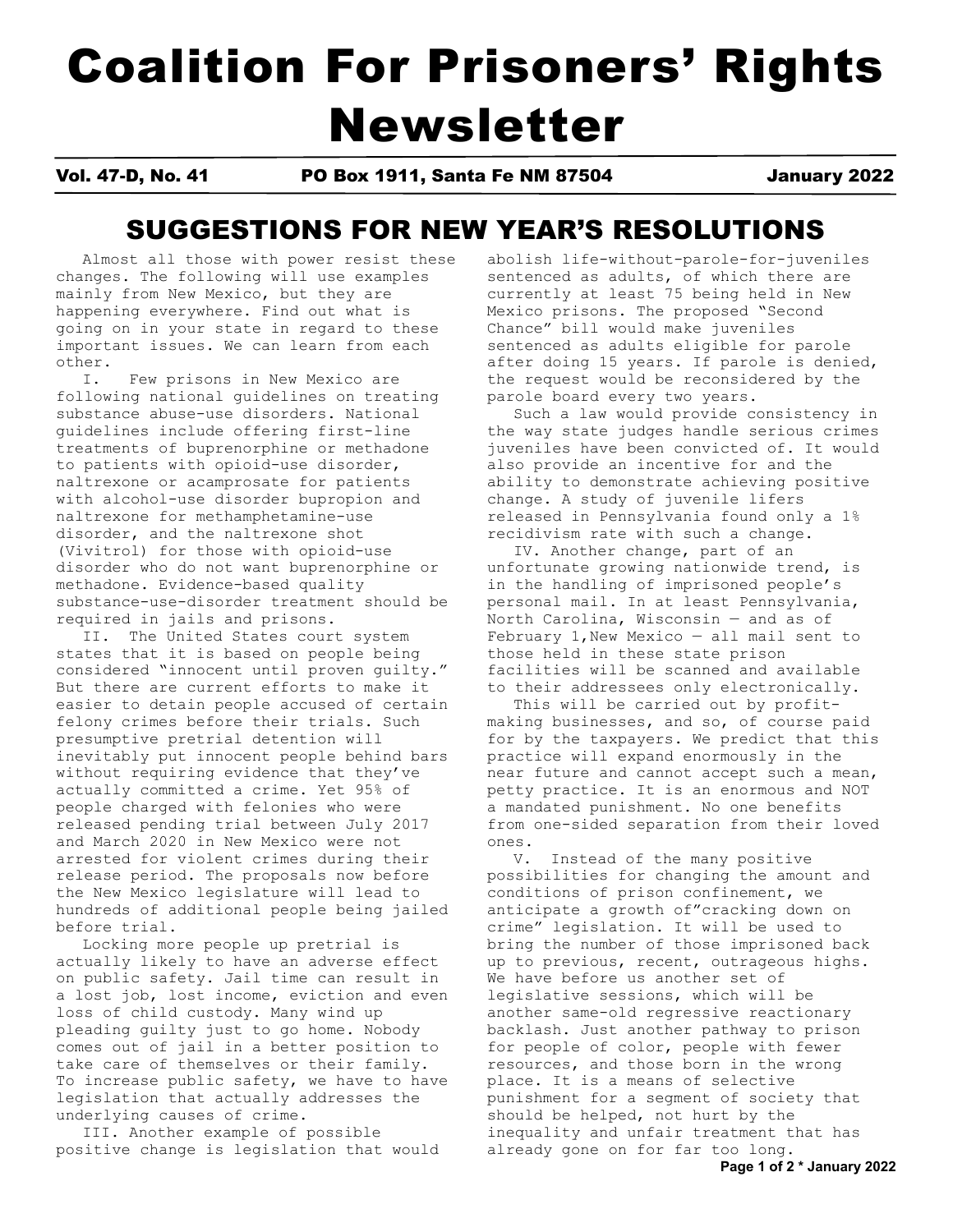# Coalition For Prisoners' Rights Newsletter

Vol. 47-D, No. 41 PO Box 1911, Santa Fe NM 87504 January 2022

## SUGGESTIONS FOR NEW YEAR'S RESOLUTIONS

 Almost all those with power resist these changes. The following will use examples mainly from New Mexico, but they are happening everywhere. Find out what is going on in your state in regard to these important issues. We can learn from each other.

 I. Few prisons in New Mexico are following national guidelines on treating substance abuse-use disorders. National guidelines include offering first-line treatments of buprenorphine or methadone to patients with opioid-use disorder, naltrexone or acamprosate for patients with alcohol-use disorder bupropion and naltrexone for methamphetamine-use disorder, and the naltrexone shot (Vivitrol) for those with opioid-use disorder who do not want buprenorphine or methadone. Evidence-based quality substance-use-disorder treatment should be required in jails and prisons.

 II. The United States court system states that it is based on people being considered "innocent until proven guilty." But there are current efforts to make it easier to detain people accused of certain felony crimes before their trials. Such presumptive pretrial detention will inevitably put innocent people behind bars without requiring evidence that they've actually committed a crime. Yet 95% of people charged with felonies who were released pending trial between July 2017 and March 2020 in New Mexico were not arrested for violent crimes during their release period. The proposals now before the New Mexico legislature will lead to hundreds of additional people being jailed before trial.

 Locking more people up pretrial is actually likely to have an adverse effect on public safety. Jail time can result in a lost job, lost income, eviction and even loss of child custody. Many wind up pleading guilty just to go home. Nobody comes out of jail in a better position to take care of themselves or their family. To increase public safety, we have to have legislation that actually addresses the underlying causes of crime.

 III. Another example of possible positive change is legislation that would abolish life-without-parole-for-juveniles sentenced as adults, of which there are currently at least 75 being held in New Mexico prisons. The proposed "Second Chance" bill would make juveniles sentenced as adults eligible for parole after doing 15 years. If parole is denied, the request would be reconsidered by the parole board every two years.

 Such a law would provide consistency in the way state judges handle serious crimes juveniles have been convicted of. It would also provide an incentive for and the ability to demonstrate achieving positive change. A study of juvenile lifers released in Pennsylvania found only a 1% recidivism rate with such a change.

 IV. Another change, part of an unfortunate growing nationwide trend, is in the handling of imprisoned people's personal mail. In at least Pennsylvania, North Carolina, Wisconsin — and as of February 1,New Mexico — all mail sent to those held in these state prison facilities will be scanned and available to their addressees only electronically.

 This will be carried out by profitmaking businesses, and so, of course paid for by the taxpayers. We predict that this practice will expand enormously in the near future and cannot accept such a mean, petty practice. It is an enormous and NOT a mandated punishment. No one benefits from one-sided separation from their loved ones.

 V. Instead of the many positive possibilities for changing the amount and conditions of prison confinement, we anticipate a growth of"cracking down on crime" legislation. It will be used to bring the number of those imprisoned back up to previous, recent, outrageous highs. We have before us another set of legislative sessions, which will be another same-old regressive reactionary backlash. Just another pathway to prison for people of color, people with fewer resources, and those born in the wrong place. It is a means of selective punishment for a segment of society that should be helped, not hurt by the inequality and unfair treatment that has already gone on for far too long.